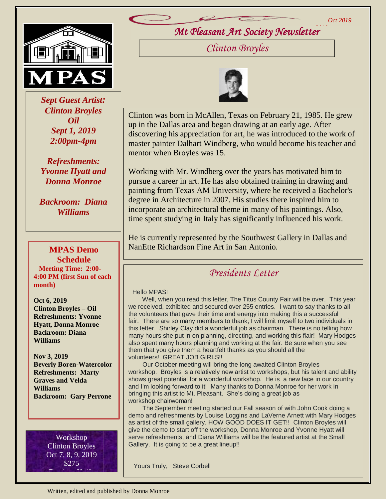*Oct 2019*



 *Sept Guest Artist: Clinton Broyles Oil Sept 1, 2019 2:00pm-4pm*

*Refreshments: Yvonne Hyatt and Donna Monroe*

*Backroom: Diana Williams*

### **MPAS Demo Schedule Meeting Time: 2:00- 4:00 PM (first Sun of each month)**

**Oct 6, 2019 Clinton Broyles – Oil Refreshments: Yvonne Hyatt, Donna Monroe Backroom: Diana Williams**

**Nov 3, 2019 Beverly Boren-Watercolor Refreshments: Marty Graves and Velda Williams Backroom: Gary Perrone**

> Workshop Clinton Broyles Oct 7, 8, 9, 2019 \$275 Brush or Knife

*Mt Pleasant Art Society Newsletter 2019*

*Clinton Broyles*



Clinton was born in McAllen, Texas on February 21, 1985. He grew up in the Dallas area and began drawing at an early age. After discovering his appreciation for art, he was introduced to the work of master painter Dalhart Windberg, who would become his teacher and mentor when Broyles was 15.

Working with Mr. Windberg over the years has motivated him to pursue a career in art. He has also obtained training in drawing and painting from Texas AM University, where he received a Bachelor's degree in Architecture in 2007. His studies there inspired him to incorporate an architectural theme in many of his paintings. Also, time spent studying in Italy has significantly influenced his work.

He is currently represented by the Southwest Gallery in Dallas and NanEtte Richardson Fine Art in San Antonio.

# *Presidents Letter*

### Hello MPAS!

 Well, when you read this letter, The Titus County Fair will be over. This year we received, exhibited and secured over 255 entries. I want to say thanks to all the volunteers that gave their time and energy into making this a successful fair. There are so many members to thank; I will limit myself to two individuals in this letter. Shirley Clay did a wonderful job as chairman. There is no telling how many hours she put in on planning, directing, and working this flair! Mary Hodges also spent many hours planning and working at the fair. Be sure when you see them that you give them a heartfelt thanks as you should all the volunteers! GREAT JOB GIRLS!!

 Our October meeting will bring the long awaited Clinton Broyles workshop. Broyles is a relatively new artist to workshops, but his talent and ability shows great potential for a wonderful workshop. He is a new face in our country and I'm looking forward to it! Many thanks to Donna Monroe for her work in bringing this artist to Mt. Pleasant. She's doing a great job as workshop chairwoman!

as anist of the small gallery. HOW GOOD DOES IT GET!! Clinton Broyles will<br>give the demo to start off the workshop, Donna Monroe and Yvonne Hyatt will give the defile to start on the women by, both a mombe and Tvenhe Tryatt will be the featured artist at the Small The September meeting started our Fall season of with John Cook doing a demo and refreshments by Louise Loggins and LaVerne Arnett with Mary Hodges as artist of the small gallery. HOW GOOD DOES IT GET!! Clinton Broyles will Gallery. It is going to be a great lineup!!

Yours Truly, Steve Corbell